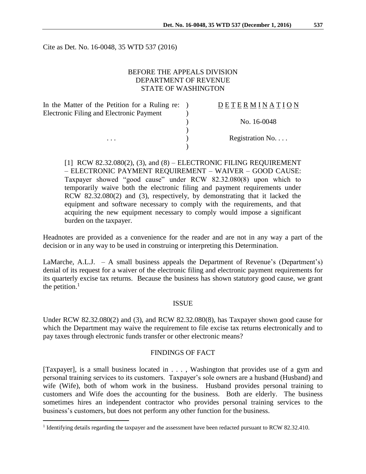Cite as Det. No. 16-0048, 35 WTD 537 (2016)

### BEFORE THE APPEALS DIVISION DEPARTMENT OF REVENUE STATE OF WASHINGTON

 $\lambda$ 

)

)

In the Matter of the Petition for a Ruling re: ) Electronic Filing and Electronic Payment

 $\overline{a}$ 

### $\underline{D} \underline{E} \underline{T} \underline{E} \underline{R} \underline{M} \underline{I} \underline{N} \underline{A} \underline{T} \underline{I} \underline{O} \underline{N}$

) No. 16-0048

... Registration No....

 $[1]$  RCW 82.32.080(2), (3), and (8) – ELECTRONIC FILING REQUIREMENT – ELECTRONIC PAYMENT REQUIREMENT – WAIVER – GOOD CAUSE: Taxpayer showed "good cause" under RCW 82.32.080(8) upon which to temporarily waive both the electronic filing and payment requirements under RCW 82.32.080(2) and (3), respectively, by demonstrating that it lacked the equipment and software necessary to comply with the requirements, and that acquiring the new equipment necessary to comply would impose a significant burden on the taxpayer.

Headnotes are provided as a convenience for the reader and are not in any way a part of the decision or in any way to be used in construing or interpreting this Determination.

LaMarche, A.L.J.  $-$  A small business appeals the Department of Revenue's (Department's) denial of its request for a waiver of the electronic filing and electronic payment requirements for its quarterly excise tax returns. Because the business has shown statutory good cause, we grant the petition. $<sup>1</sup>$ </sup>

#### ISSUE

Under RCW 82.32.080(2) and (3), and RCW 82.32.080(8), has Taxpayer shown good cause for which the Department may waive the requirement to file excise tax returns electronically and to pay taxes through electronic funds transfer or other electronic means?

#### FINDINGS OF FACT

[Taxpayer], is a small business located in . . . , Washington that provides use of a gym and personal training services to its customers. Taxpayer's sole owners are a husband (Husband) and wife (Wife), both of whom work in the business. Husband provides personal training to customers and Wife does the accounting for the business. Both are elderly. The business sometimes hires an independent contractor who provides personal training services to the business's customers, but does not perform any other function for the business.

<sup>&</sup>lt;sup>1</sup> Identifying details regarding the taxpayer and the assessment have been redacted pursuant to RCW 82.32.410.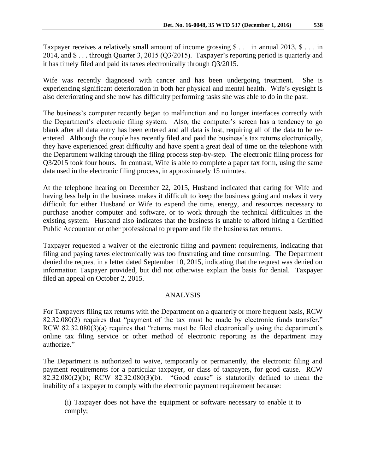Taxpayer receives a relatively small amount of income grossing \$ . . . in annual 2013, \$ . . . in 2014, and \$ . . . through Quarter 3, 2015 (Q3/2015). Taxpayer's reporting period is quarterly and it has timely filed and paid its taxes electronically through Q3/2015.

Wife was recently diagnosed with cancer and has been undergoing treatment. She is experiencing significant deterioration in both her physical and mental health. Wife's eyesight is also deteriorating and she now has difficulty performing tasks she was able to do in the past.

The business's computer recently began to malfunction and no longer interfaces correctly with the Department's electronic filing system. Also, the computer's screen has a tendency to go blank after all data entry has been entered and all data is lost, requiring all of the data to be reentered. Although the couple has recently filed and paid the business's tax returns electronically, they have experienced great difficulty and have spent a great deal of time on the telephone with the Department walking through the filing process step-by-step. The electronic filing process for Q3/2015 took four hours. In contrast, Wife is able to complete a paper tax form, using the same data used in the electronic filing process, in approximately 15 minutes.

At the telephone hearing on December 22, 2015, Husband indicated that caring for Wife and having less help in the business makes it difficult to keep the business going and makes it very difficult for either Husband or Wife to expend the time, energy, and resources necessary to purchase another computer and software, or to work through the technical difficulties in the existing system. Husband also indicates that the business is unable to afford hiring a Certified Public Accountant or other professional to prepare and file the business tax returns.

Taxpayer requested a waiver of the electronic filing and payment requirements, indicating that filing and paying taxes electronically was too frustrating and time consuming. The Department denied the request in a letter dated September 10, 2015, indicating that the request was denied on information Taxpayer provided, but did not otherwise explain the basis for denial. Taxpayer filed an appeal on October 2, 2015.

# ANALYSIS

For Taxpayers filing tax returns with the Department on a quarterly or more frequent basis, RCW 82.32.080(2) requires that "payment of the tax must be made by electronic funds transfer." RCW 82.32.080(3)(a) requires that "returns must be filed electronically using the department's online tax filing service or other method of electronic reporting as the department may authorize."

The Department is authorized to waive, temporarily or permanently, the electronic filing and payment requirements for a particular taxpayer, or class of taxpayers, for good cause. RCW 82.32.080(2)(b); RCW 82.32.080(3)(b). "Good cause" is statutorily defined to mean the inability of a taxpayer to comply with the electronic payment requirement because:

(i) Taxpayer does not have the equipment or software necessary to enable it to comply;